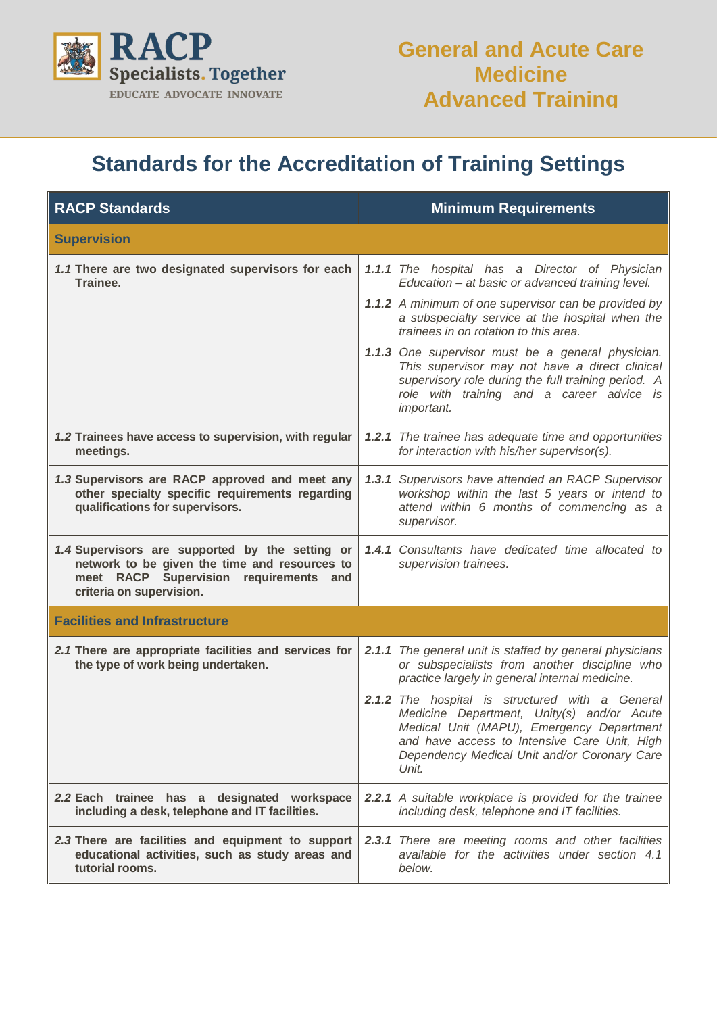

## **Standards for the Accreditation of Training Settings**

| <b>RACP Standards</b>                                                                                                                                                  | <b>Minimum Requirements</b>                                                                                                                                                                                                                                   |  |
|------------------------------------------------------------------------------------------------------------------------------------------------------------------------|---------------------------------------------------------------------------------------------------------------------------------------------------------------------------------------------------------------------------------------------------------------|--|
| <b>Supervision</b>                                                                                                                                                     |                                                                                                                                                                                                                                                               |  |
| 1.1 There are two designated supervisors for each<br>Trainee.                                                                                                          | 1.1.1 The hospital has a Director of Physician<br>Education - at basic or advanced training level.<br><b>1.1.2</b> A minimum of one supervisor can be provided by<br>a subspecialty service at the hospital when the<br>trainees in on rotation to this area. |  |
|                                                                                                                                                                        | 1.1.3 One supervisor must be a general physician.<br>This supervisor may not have a direct clinical<br>supervisory role during the full training period. A<br>role with training and a career advice is<br>important.                                         |  |
| 1.2 Trainees have access to supervision, with regular<br>meetings.                                                                                                     | 1.2.1 The trainee has adequate time and opportunities<br>for interaction with his/her supervisor(s).                                                                                                                                                          |  |
| 1.3 Supervisors are RACP approved and meet any<br>other specialty specific requirements regarding<br>qualifications for supervisors.                                   | 1.3.1 Supervisors have attended an RACP Supervisor<br>workshop within the last 5 years or intend to<br>attend within 6 months of commencing as a<br>supervisor.                                                                                               |  |
| 1.4 Supervisors are supported by the setting or<br>network to be given the time and resources to<br>meet RACP Supervision requirements and<br>criteria on supervision. | 1.4.1 Consultants have dedicated time allocated to<br>supervision trainees.                                                                                                                                                                                   |  |
| <b>Facilities and Infrastructure</b>                                                                                                                                   |                                                                                                                                                                                                                                                               |  |
| 2.1 There are appropriate facilities and services for<br>the type of work being undertaken.                                                                            | 2.1.1 The general unit is staffed by general physicians<br>or subspecialists from another discipline who<br>practice largely in general internal medicine.                                                                                                    |  |
|                                                                                                                                                                        | 2.1.2 The hospital is structured with a General<br>Medicine Department, Unity(s) and/or Acute<br>Medical Unit (MAPU), Emergency Department<br>and have access to Intensive Care Unit, High<br>Dependency Medical Unit and/or Coronary Care<br>Unit.           |  |
| 2.2 Each trainee has a designated workspace<br>including a desk, telephone and IT facilities.                                                                          | <b>2.2.1</b> A suitable workplace is provided for the trainee<br>including desk, telephone and IT facilities.                                                                                                                                                 |  |
| 2.3 There are facilities and equipment to support<br>educational activities, such as study areas and<br>tutorial rooms.                                                | 2.3.1 There are meeting rooms and other facilities<br>available for the activities under section 4.1<br>below.                                                                                                                                                |  |